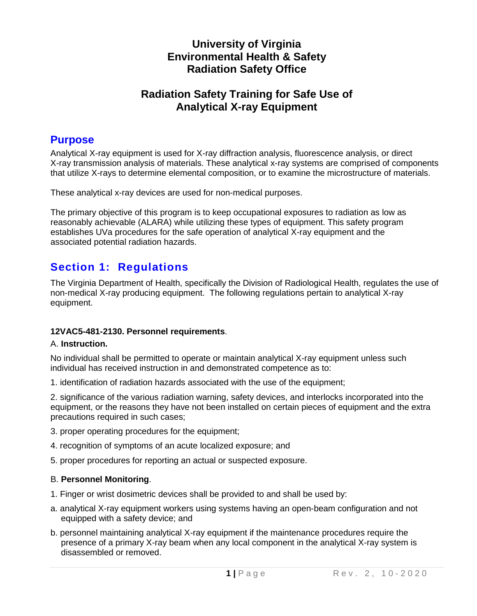## **University of Virginia Environmental Health & Safety Radiation Safety Office**

## **Radiation Safety Training for Safe Use of Analytical X-ray Equipment**

## **Purpose**

Analytical X-ray equipment is used for X-ray diffraction analysis, fluorescence analysis, or direct X-ray transmission analysis of materials. These analytical x-ray systems are comprised of components that utilize X-rays to determine elemental composition, or to examine the microstructure of materials.

These analytical x-ray devices are used for non-medical purposes.

The primary objective of this program is to keep occupational exposures to radiation as low as reasonably achievable (ALARA) while utilizing these types of equipment. This safety program establishes UVa procedures for the safe operation of analytical X-ray equipment and the associated potential radiation hazards.

# **Section 1: Regulations**

The Virginia Department of Health, specifically the Division of Radiological Health, regulates the use of non-medical X-ray producing equipment. The following regulations pertain to analytical X-ray equipment.

## **12VAC5-481-2130. Personnel requirements**.

#### A. **Instruction.**

No individual shall be permitted to operate or maintain analytical X-ray equipment unless such individual has received instruction in and demonstrated competence as to:

1. identification of radiation hazards associated with the use of the equipment;

2. significance of the various radiation warning, safety devices, and interlocks incorporated into the equipment, or the reasons they have not been installed on certain pieces of equipment and the extra precautions required in such cases;

- 3. proper operating procedures for the equipment;
- 4. recognition of symptoms of an acute localized exposure; and
- 5. proper procedures for reporting an actual or suspected exposure.

#### B. **Personnel Monitoring**.

- 1. Finger or wrist dosimetric devices shall be provided to and shall be used by:
- a. analytical X-ray equipment workers using systems having an open-beam configuration and not equipped with a safety device; and
- b. personnel maintaining analytical X-ray equipment if the maintenance procedures require the presence of a primary X-ray beam when any local component in the analytical X-ray system is disassembled or removed.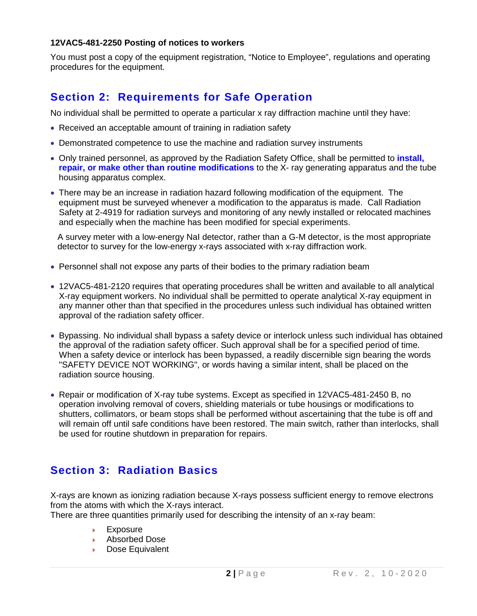#### **12VAC5-481-2250 Posting of notices to workers**

You must post a copy of the equipment registration, "Notice to Employee", regulations and operating procedures for the equipment.

# **Section 2: Requirements for Safe Operation**

No individual shall be permitted to operate a particular x ray diffraction machine until they have:

- Received an acceptable amount of training in radiation safety
- Demonstrated competence to use the machine and radiation survey instruments
- Only trained personnel, as approved by the Radiation Safety Office, shall be permitted to **install, repair, or make other than routine modifications** to the X- ray generating apparatus and the tube housing apparatus complex.
- There may be an increase in radiation hazard following modification of the equipment. The equipment must be surveyed whenever a modification to the apparatus is made. Call Radiation Safety at 2-4919 for radiation surveys and monitoring of any newly installed or relocated machines and especially when the machine has been modified for special experiments.

A survey meter with a low-energy NaI detector, rather than a G-M detector, is the most appropriate detector to survey for the low-energy x-rays associated with x-ray diffraction work.

- Personnel shall not expose any parts of their bodies to the primary radiation beam
- 12VAC5-481-2120 requires that operating procedures shall be written and available to all analytical X-ray equipment workers. No individual shall be permitted to operate analytical X-ray equipment in any manner other than that specified in the procedures unless such individual has obtained written approval of the radiation safety officer.
- Bypassing. No individual shall bypass a safety device or interlock unless such individual has obtained the approval of the radiation safety officer. Such approval shall be for a specified period of time. When a safety device or interlock has been bypassed, a readily discernible sign bearing the words "SAFETY DEVICE NOT WORKING", or words having a similar intent, shall be placed on the radiation source housing.
- Repair or modification of X-ray tube systems. Except as specified in 12VAC5-481-2450 B, no operation involving removal of covers, shielding materials or tube housings or modifications to shutters, collimators, or beam stops shall be performed without ascertaining that the tube is off and will remain off until safe conditions have been restored. The main switch, rather than interlocks, shall be used for routine shutdown in preparation for repairs.

# **Section 3: Radiation Basics**

X-rays are known as ionizing radiation because X-rays possess sufficient energy to remove electrons from the atoms with which the X-rays interact.

There are three quantities primarily used for describing the intensity of an x-ray beam:

- Exposure k.
- Absorbed Dose
- **Dose Equivalent**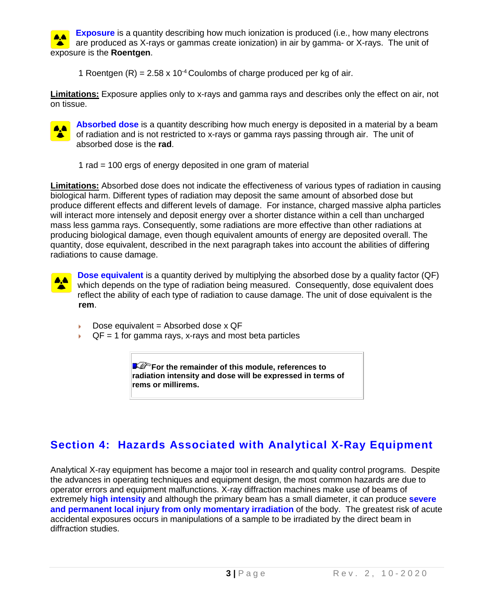**Exposure** is a quantity describing how much ionization is produced (i.e., how many electrons **AA** are produced as X-rays or gammas create ionization) in air by gamma- or X-rays. The unit of exposure is the **Roentgen**.

1 Roentgen  $(R) = 2.58 \times 10^{-4}$  Coulombs of charge produced per kg of air.

**Limitations:** Exposure applies only to x-rays and gamma rays and describes only the effect on air, not on tissue.



**Absorbed dose** is a quantity describing how much energy is deposited in a material by a beam of radiation and is not restricted to x-rays or gamma rays passing through air. The unit of absorbed dose is the **rad**.

1 rad = 100 ergs of energy deposited in one gram of material

**Limitations:** Absorbed dose does not indicate the effectiveness of various types of radiation in causing biological harm. Different types of radiation may deposit the same amount of absorbed dose but produce different effects and different levels of damage. For instance, charged massive alpha particles will interact more intensely and deposit energy over a shorter distance within a cell than uncharged mass less gamma rays. Consequently, some radiations are more effective than other radiations at producing biological damage, even though equivalent amounts of energy are deposited overall. The quantity, dose equivalent, described in the next paragraph takes into account the abilities of differing radiations to cause damage.



**Dose equivalent** is a quantity derived by multiplying the absorbed dose by a quality factor (QF) which depends on the type of radiation being measured. Consequently, dose equivalent does reflect the ability of each type of radiation to cause damage. The unit of dose equivalent is the **rem**.

- Dose equivalent = Absorbed dose  $x$  QF
- $QF = 1$  for gamma rays, x-rays and most beta particles

**For the remainder of this module, references to radiation intensity and dose will be expressed in terms of rems or millirems.** 

# **Section 4: Hazards Associated with Analytical X-Ray Equipment**

Analytical X-ray equipment has become a major tool in research and quality control programs. Despite the advances in operating techniques and equipment design, the most common hazards are due to operator errors and equipment malfunctions. X-ray diffraction machines make use of beams of extremely **high intensity** and although the primary beam has a small diameter, it can produce **severe and permanent local injury from only momentary irradiation** of the body. The greatest risk of acute accidental exposures occurs in manipulations of a sample to be irradiated by the direct beam in diffraction studies.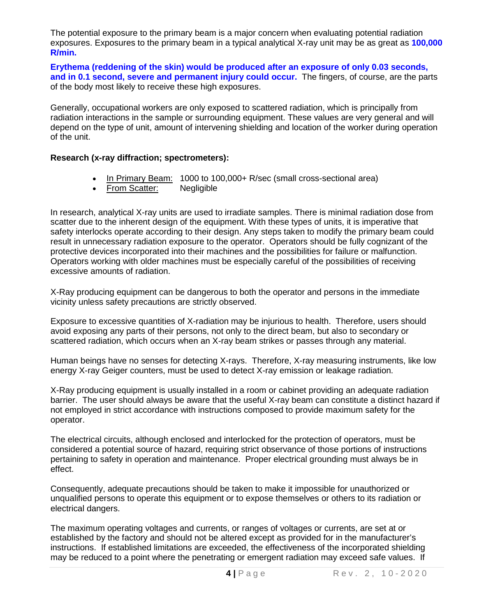The potential exposure to the primary beam is a major concern when evaluating potential radiation exposures. Exposures to the primary beam in a typical analytical X-ray unit may be as great as **100,000 R/min.**

**Erythema (reddening of the skin) would be produced after an exposure of only 0.03 seconds, and in 0.1 second, severe and permanent injury could occur.** The fingers, of course, are the parts of the body most likely to receive these high exposures.

Generally, occupational workers are only exposed to scattered radiation, which is principally from radiation interactions in the sample or surrounding equipment. These values are very general and will depend on the type of unit, amount of intervening shielding and location of the worker during operation of the unit.

#### **Research (x-ray diffraction; spectrometers):**

- In Primary Beam: 1000 to 100,000+ R/sec (small cross-sectional area)
- From Scatter: Negligible

In research, analytical X-ray units are used to irradiate samples. There is minimal radiation dose from scatter due to the inherent design of the equipment. With these types of units, it is imperative that safety interlocks operate according to their design. Any steps taken to modify the primary beam could result in unnecessary radiation exposure to the operator. Operators should be fully cognizant of the protective devices incorporated into their machines and the possibilities for failure or malfunction. Operators working with older machines must be especially careful of the possibilities of receiving excessive amounts of radiation.

X-Ray producing equipment can be dangerous to both the operator and persons in the immediate vicinity unless safety precautions are strictly observed.

Exposure to excessive quantities of X-radiation may be injurious to health. Therefore, users should avoid exposing any parts of their persons, not only to the direct beam, but also to secondary or scattered radiation, which occurs when an X-ray beam strikes or passes through any material.

Human beings have no senses for detecting X-rays. Therefore, X-ray measuring instruments, like low energy X-ray Geiger counters, must be used to detect X-ray emission or leakage radiation.

X-Ray producing equipment is usually installed in a room or cabinet providing an adequate radiation barrier. The user should always be aware that the useful X-ray beam can constitute a distinct hazard if not employed in strict accordance with instructions composed to provide maximum safety for the operator.

The electrical circuits, although enclosed and interlocked for the protection of operators, must be considered a potential source of hazard, requiring strict observance of those portions of instructions pertaining to safety in operation and maintenance. Proper electrical grounding must always be in effect.

Consequently, adequate precautions should be taken to make it impossible for unauthorized or unqualified persons to operate this equipment or to expose themselves or others to its radiation or electrical dangers.

The maximum operating voltages and currents, or ranges of voltages or currents, are set at or established by the factory and should not be altered except as provided for in the manufacturer's instructions. If established limitations are exceeded, the effectiveness of the incorporated shielding may be reduced to a point where the penetrating or emergent radiation may exceed safe values. If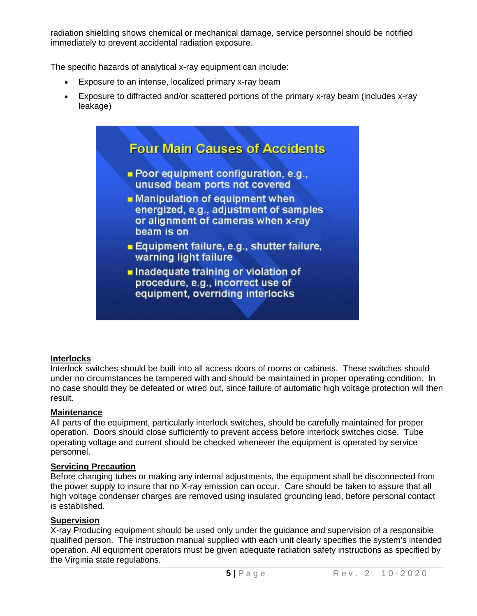radiation shielding shows chemical or mechanical damage, service personnel should be notified immediately to prevent accidental radiation exposure.

The specific hazards of analytical x-ray equipment can include:

- Exposure to an intense, localized primary x-ray beam
- Exposure to diffracted and/or scattered portions of the primary x-ray beam (includes x-ray leakage)



## **Interlocks**

Interlock switches should be built into all access doors of rooms or cabinets. These switches should under no circumstances be tampered with and should be maintained in proper operating condition. In no case should they be defeated or wired out, since failure of automatic high voltage protection will then result.

## **Maintenance**

All parts of the equipment, particularly interlock switches, should be carefully maintained for proper operation. Doors should close sufficiently to prevent access before interlock switches close. Tube operating voltage and current should be checked whenever the equipment is operated by service personnel.

## **Servicing Precaution**

Before changing tubes or making any internal adjustments, the equipment shall be disconnected from the power supply to insure that no X-ray emission can occur. Care should be taken to assure that all high voltage condenser charges are removed using insulated grounding lead, before personal contact is established.

## **Supervision**

X-ray Producing equipment should be used only under the guidance and supervision of a responsible qualified person. The instruction manual supplied with each unit clearly specifies the system's intended operation. All equipment operators must be given adequate radiation safety instructions as specified by the Virginia state regulations.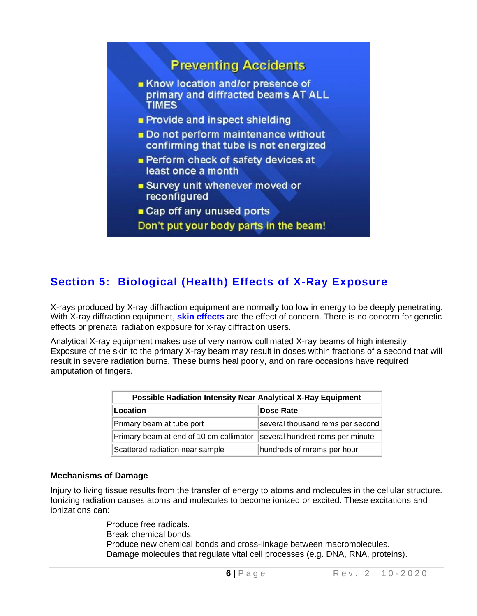# **Preventing Accidents**

- Know location and/or presence of primary and diffracted beams AT ALL **TIMES**
- Provide and inspect shielding
- Do not perform maintenance without confirming that tube is not energized
- **Perform check of safety devices at** least once a month
- **Survey unit whenever moved or** reconfigured
- Cap off any unused ports
- Don't put your body parts in the beam!

# **Section 5: Biological (Health) Effects of X-Ray Exposure**

X-rays produced by X-ray diffraction equipment are normally too low in energy to be deeply penetrating. With X-ray diffraction equipment, **skin effects** are the effect of concern. There is no concern for genetic effects or prenatal radiation exposure for x-ray diffraction users.

Analytical X-ray equipment makes use of very narrow collimated X-ray beams of high intensity. Exposure of the skin to the primary X-ray beam may result in doses within fractions of a second that will result in severe radiation burns. These burns heal poorly, and on rare occasions have required amputation of fingers.

| <b>Possible Radiation Intensity Near Analytical X-Ray Equipment</b> |                                  |
|---------------------------------------------------------------------|----------------------------------|
| Location                                                            | Dose Rate                        |
| Primary beam at tube port                                           | several thousand rems per second |
| Primary beam at end of 10 cm collimator                             | several hundred rems per minute  |
| Scattered radiation near sample                                     | hundreds of mrems per hour       |

#### **Mechanisms of Damage**

Injury to living tissue results from the transfer of energy to atoms and molecules in the cellular structure. Ionizing radiation causes atoms and molecules to become ionized or excited. These excitations and ionizations can:

> Produce free radicals. Break chemical bonds. Produce new chemical bonds and cross-linkage between macromolecules. Damage molecules that regulate vital cell processes (e.g. DNA, RNA, proteins).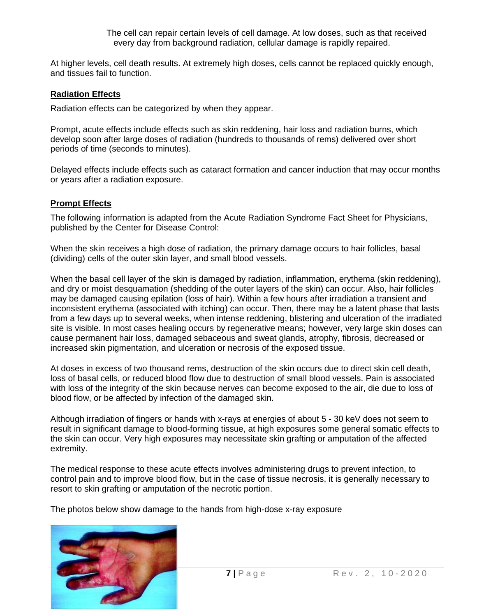The cell can repair certain levels of cell damage. At low doses, such as that received every day from background radiation, cellular damage is rapidly repaired.

At higher levels, cell death results. At extremely high doses, cells cannot be replaced quickly enough, and tissues fail to function.

#### **Radiation Effects**

Radiation effects can be categorized by when they appear.

Prompt, acute effects include effects such as skin reddening, hair loss and radiation burns, which develop soon after large doses of radiation (hundreds to thousands of rems) delivered over short periods of time (seconds to minutes).

Delayed effects include effects such as cataract formation and cancer induction that may occur months or years after a radiation exposure.

#### **Prompt Effects**

The following information is adapted from the Acute Radiation Syndrome Fact Sheet for Physicians, published by the Center for Disease Control:

When the skin receives a high dose of radiation, the primary damage occurs to hair follicles, basal (dividing) cells of the outer skin layer, and small blood vessels.

When the basal cell layer of the skin is damaged by radiation, inflammation, erythema (skin reddening), and dry or moist desquamation (shedding of the outer layers of the skin) can occur. Also, hair follicles may be damaged causing epilation (loss of hair). Within a few hours after irradiation a transient and inconsistent erythema (associated with itching) can occur. Then, there may be a latent phase that lasts from a few days up to several weeks, when intense reddening, blistering and ulceration of the irradiated site is visible. In most cases healing occurs by regenerative means; however, very large skin doses can cause permanent hair loss, damaged sebaceous and sweat glands, atrophy, fibrosis, decreased or increased skin pigmentation, and ulceration or necrosis of the exposed tissue.

At doses in excess of two thousand rems, destruction of the skin occurs due to direct skin cell death, loss of basal cells, or reduced blood flow due to destruction of small blood vessels. Pain is associated with loss of the integrity of the skin because nerves can become exposed to the air, die due to loss of blood flow, or be affected by infection of the damaged skin.

Although irradiation of fingers or hands with x-rays at energies of about 5 - 30 keV does not seem to result in significant damage to blood-forming tissue, at high exposures some general somatic effects to the skin can occur. Very high exposures may necessitate skin grafting or amputation of the affected extremity.

The medical response to these acute effects involves administering drugs to prevent infection, to control pain and to improve blood flow, but in the case of tissue necrosis, it is generally necessary to resort to skin grafting or amputation of the necrotic portion.

The photos below show damage to the hands from high-dose x-ray exposure

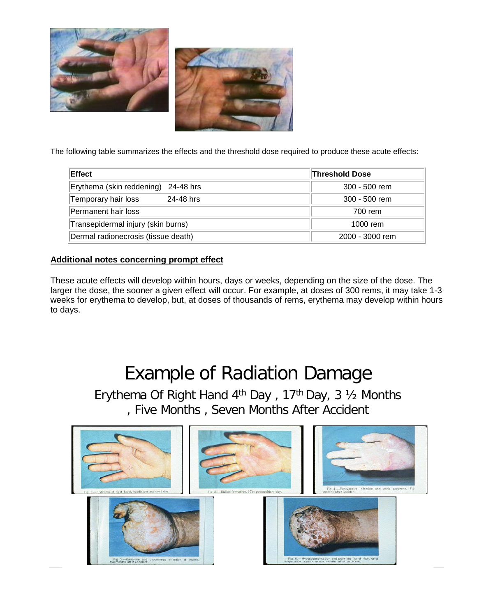



The following table summarizes the effects and the threshold dose required to produce these acute effects:

| Effect                              | <b>Threshold Dose</b> |
|-------------------------------------|-----------------------|
| Erythema (skin reddening) 24-48 hrs | 300 - 500 rem         |
| Temporary hair loss<br>24-48 hrs    | 300 - 500 rem         |
| Permanent hair loss                 | 700 rem               |
| Transepidermal injury (skin burns)  | 1000 rem              |
| Dermal radionecrosis (tissue death) | 2000 - 3000 rem       |

#### **Additional notes concerning prompt effect**

These acute effects will develop within hours, days or weeks, depending on the size of the dose. The larger the dose, the sooner a given effect will occur. For example, at doses of 300 rems, it may take 1-3 weeks for erythema to develop, but, at doses of thousands of rems, erythema may develop within hours to days.

# Example of Radiation Damage

Erythema Of Right Hand 4th Day , 17th Day, 3 ½ Months , Five Months , Seven Months After Accident

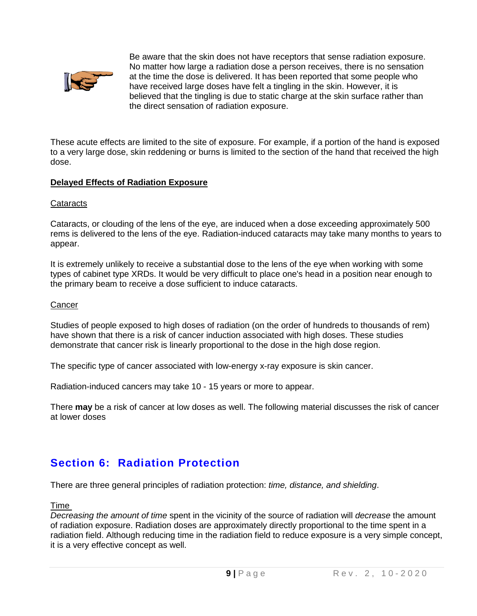

Be aware that the skin does not have receptors that sense radiation exposure. No matter how large a radiation dose a person receives, there is no sensation at the time the dose is delivered. It has been reported that some people who have received large doses have felt a tingling in the skin. However, it is believed that the tingling is due to static charge at the skin surface rather than the direct sensation of radiation exposure.

These acute effects are limited to the site of exposure. For example, if a portion of the hand is exposed to a very large dose, skin reddening or burns is limited to the section of the hand that received the high dose.

#### **Delayed Effects of Radiation Exposure**

#### **Cataracts**

Cataracts, or clouding of the lens of the eye, are induced when a dose exceeding approximately 500 rems is delivered to the lens of the eye. Radiation-induced cataracts may take many months to years to appear.

It is extremely unlikely to receive a substantial dose to the lens of the eye when working with some types of cabinet type XRDs. It would be very difficult to place one's head in a position near enough to the primary beam to receive a dose sufficient to induce cataracts.

#### **Cancer**

Studies of people exposed to high doses of radiation (on the order of hundreds to thousands of rem) have shown that there is a risk of cancer induction associated with high doses. These studies demonstrate that cancer risk is linearly proportional to the dose in the high dose region.

The specific type of cancer associated with low-energy x-ray exposure is skin cancer.

Radiation-induced cancers may take 10 - 15 years or more to appear.

There **may** be a risk of cancer at low doses as well. The following material discusses the risk of cancer at lower doses

# **Section 6: Radiation Protection**

There are three general principles of radiation protection: *time, distance, and shielding*.

#### Time

*Decreasing the amount of time* spent in the vicinity of the source of radiation will *decrease* the amount of radiation exposure. Radiation doses are approximately directly proportional to the time spent in a radiation field. Although reducing time in the radiation field to reduce exposure is a very simple concept, it is a very effective concept as well.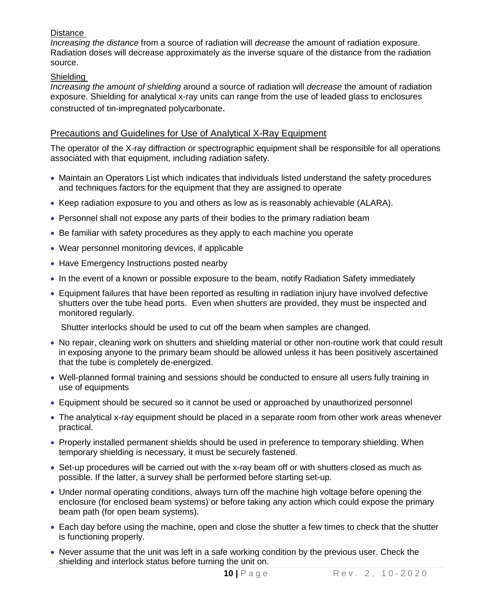#### **Distance**

*Increasing the distance* from a source of radiation will *decrease* the amount of radiation exposure. Radiation doses will decrease approximately as the inverse square of the distance from the radiation source.

#### Shielding

*Increasing the amount of shielding* around a source of radiation will *decrease* the amount of radiation exposure. Shielding for analytical x-ray units can range from the use of leaded glass to enclosures constructed of tin-impregnated polycarbonate.

#### Precautions and Guidelines for Use of Analytical X-Ray Equipment

The operator of the X-ray diffraction or spectrographic equipment shall be responsible for all operations associated with that equipment, including radiation safety.

- Maintain an Operators List which indicates that individuals listed understand the safety procedures and techniques factors for the equipment that they are assigned to operate
- Keep radiation exposure to you and others as low as is reasonably achievable (ALARA).
- Personnel shall not expose any parts of their bodies to the primary radiation beam
- Be familiar with safety procedures as they apply to each machine you operate
- Wear personnel monitoring devices, if applicable
- Have Emergency Instructions posted nearby
- In the event of a known or possible exposure to the beam, notify Radiation Safety immediately
- Equipment failures that have been reported as resulting in radiation injury have involved defective shutters over the tube head ports. Even when shutters are provided, they must be inspected and monitored regularly.

Shutter interlocks should be used to cut off the beam when samples are changed.

- No repair, cleaning work on shutters and shielding material or other non-routine work that could result in exposing anyone to the primary beam should be allowed unless it has been positively ascertained that the tube is completely de-energized.
- Well-planned formal training and sessions should be conducted to ensure all users fully training in use of equipments
- Equipment should be secured so it cannot be used or approached by unauthorized personnel
- The analytical x-ray equipment should be placed in a separate room from other work areas whenever practical.
- Properly installed permanent shields should be used in preference to temporary shielding. When temporary shielding is necessary, it must be securely fastened.
- Set-up procedures will be carried out with the x-ray beam off or with shutters closed as much as possible. If the latter, a survey shall be performed before starting set-up.
- Under normal operating conditions, always turn off the machine high voltage before opening the enclosure (for enclosed beam systems) or before taking any action which could expose the primary beam path (for open beam systems).
- Each day before using the machine, open and close the shutter a few times to check that the shutter is functioning properly.
- Never assume that the unit was left in a safe working condition by the previous user. Check the shielding and interlock status before turning the unit on.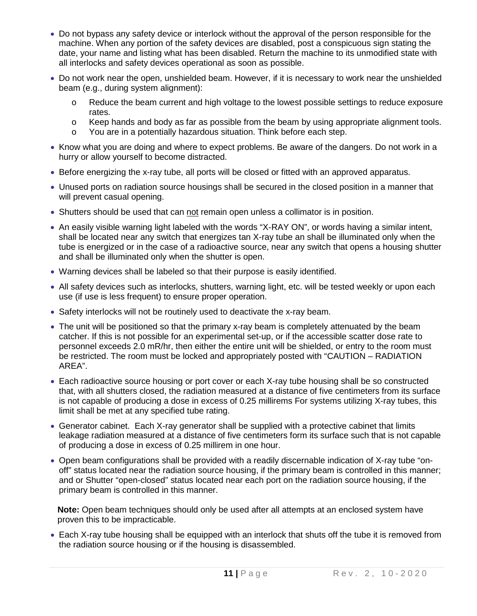- Do not bypass any safety device or interlock without the approval of the person responsible for the machine. When any portion of the safety devices are disabled, post a conspicuous sign stating the date, your name and listing what has been disabled. Return the machine to its unmodified state with all interlocks and safety devices operational as soon as possible.
- Do not work near the open, unshielded beam. However, if it is necessary to work near the unshielded beam (e.g., during system alignment):
	- o Reduce the beam current and high voltage to the lowest possible settings to reduce exposure rates.
	- o Keep hands and body as far as possible from the beam by using appropriate alignment tools.<br>
	o You are in a potentially hazardous situation. Think before each step.
	- You are in a potentially hazardous situation. Think before each step.
- Know what you are doing and where to expect problems. Be aware of the dangers. Do not work in a hurry or allow yourself to become distracted.
- Before energizing the x-ray tube, all ports will be closed or fitted with an approved apparatus.
- Unused ports on radiation source housings shall be secured in the closed position in a manner that will prevent casual opening.
- Shutters should be used that can not remain open unless a collimator is in position.
- An easily visible warning light labeled with the words "X-RAY ON", or words having a similar intent, shall be located near any switch that energizes tan X-ray tube an shall be illuminated only when the tube is energized or in the case of a radioactive source, near any switch that opens a housing shutter and shall be illuminated only when the shutter is open.
- Warning devices shall be labeled so that their purpose is easily identified.
- All safety devices such as interlocks, shutters, warning light, etc. will be tested weekly or upon each use (if use is less frequent) to ensure proper operation.
- Safety interlocks will not be routinely used to deactivate the x-ray beam.
- The unit will be positioned so that the primary x-ray beam is completely attenuated by the beam catcher. If this is not possible for an experimental set-up, or if the accessible scatter dose rate to personnel exceeds 2.0 mR/hr, then either the entire unit will be shielded, or entry to the room must be restricted. The room must be locked and appropriately posted with "CAUTION – RADIATION AREA".
- Each radioactive source housing or port cover or each X-ray tube housing shall be so constructed that, with all shutters closed, the radiation measured at a distance of five centimeters from its surface is not capable of producing a dose in excess of 0.25 millirems For systems utilizing X-ray tubes, this limit shall be met at any specified tube rating.
- Generator cabinet. Each X-ray generator shall be supplied with a protective cabinet that limits leakage radiation measured at a distance of five centimeters form its surface such that is not capable of producing a dose in excess of 0.25 millirem in one hour.
- Open beam configurations shall be provided with a readily discernable indication of X-ray tube "onoff" status located near the radiation source housing, if the primary beam is controlled in this manner; and or Shutter "open-closed" status located near each port on the radiation source housing, if the primary beam is controlled in this manner.

**Note:** Open beam techniques should only be used after all attempts at an enclosed system have proven this to be impracticable.

• Each X-ray tube housing shall be equipped with an interlock that shuts off the tube it is removed from the radiation source housing or if the housing is disassembled.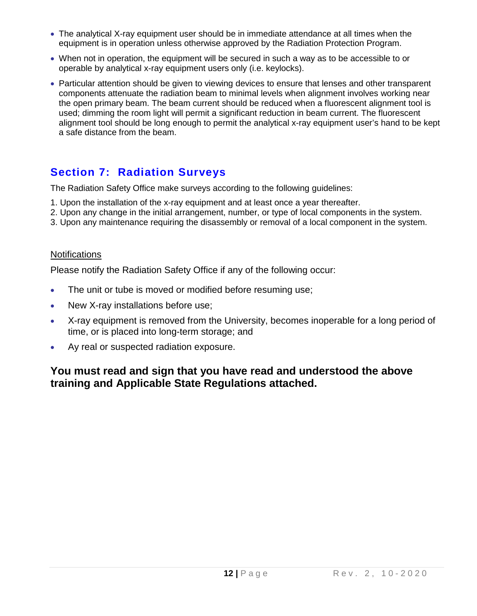- The analytical X-ray equipment user should be in immediate attendance at all times when the equipment is in operation unless otherwise approved by the Radiation Protection Program.
- When not in operation, the equipment will be secured in such a way as to be accessible to or operable by analytical x-ray equipment users only (i.e. keylocks).
- Particular attention should be given to viewing devices to ensure that lenses and other transparent components attenuate the radiation beam to minimal levels when alignment involves working near the open primary beam. The beam current should be reduced when a fluorescent alignment tool is used; dimming the room light will permit a significant reduction in beam current. The fluorescent alignment tool should be long enough to permit the analytical x-ray equipment user's hand to be kept a safe distance from the beam.

# **Section 7: Radiation Surveys**

The Radiation Safety Office make surveys according to the following guidelines:

- 1. Upon the installation of the x-ray equipment and at least once a year thereafter.
- 2. Upon any change in the initial arrangement, number, or type of local components in the system.
- 3. Upon any maintenance requiring the disassembly or removal of a local component in the system.

### **Notifications**

Please notify the Radiation Safety Office if any of the following occur:

- The unit or tube is moved or modified before resuming use;
- New X-ray installations before use;
- X-ray equipment is removed from the University, becomes inoperable for a long period of time, or is placed into long-term storage; and
- Ay real or suspected radiation exposure.

## **You must read and sign that you have read and understood the above training and Applicable State Regulations attached.**